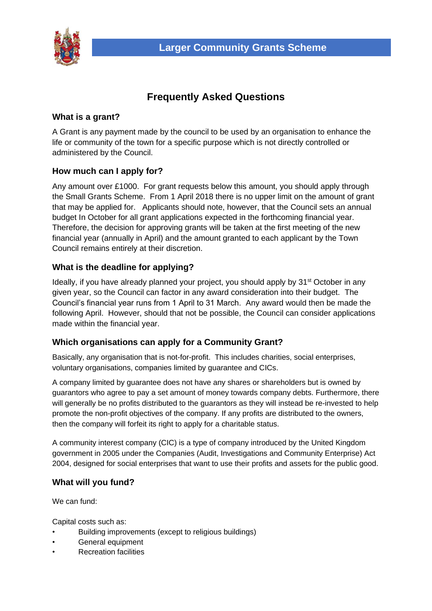

## **Frequently Asked Questions**

## **What is a grant?**

A Grant is any payment made by the council to be used by an organisation to enhance the life or community of the town for a specific purpose which is not directly controlled or administered by the Council.

## **How much can I apply for?**

Any amount over £1000. For grant requests below this amount, you should apply through the Small Grants Scheme. From 1 April 2018 there is no upper limit on the amount of grant that may be applied for. Applicants should note, however, that the Council sets an annual budget In October for all grant applications expected in the forthcoming financial year. Therefore, the decision for approving grants will be taken at the first meeting of the new financial year (annually in April) and the amount granted to each applicant by the Town Council remains entirely at their discretion.

## **What is the deadline for applying?**

Ideally, if you have already planned your project, you should apply by  $31<sup>st</sup>$  October in any given year, so the Council can factor in any award consideration into their budget. The Council's financial year runs from 1 April to 31 March. Any award would then be made the following April. However, should that not be possible, the Council can consider applications made within the financial year.

#### **Which organisations can apply for a Community Grant?**

Basically, any organisation that is not-for-profit. This includes charities, social enterprises, voluntary organisations, companies limited by guarantee and CICs.

A company limited by guarantee does not have any shares or shareholders but is owned by guarantors who agree to pay a set amount of money towards company debts. Furthermore, there will generally be no profits distributed to the guarantors as they will instead be re-invested to help promote the non-profit objectives of the company. If any profits are distributed to the owners, then the company will forfeit its right to apply for a charitable status.

A community interest company (CIC) is a type of company introduced by the United Kingdom government in 2005 under the Companies (Audit, Investigations and Community Enterprise) Act 2004, designed for social enterprises that want to use their profits and assets for the public good.

#### **What will you fund?**

We can fund:

Capital costs such as:

- Building improvements (except to religious buildings)
- General equipment
- Recreation facilities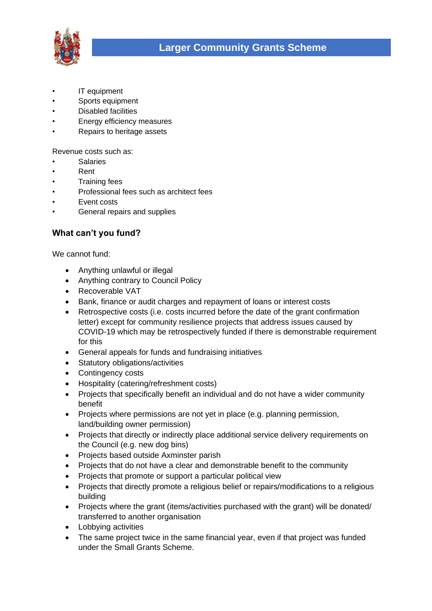

- IT equipment
- Sports equipment
- Disabled facilities
- Energy efficiency measures
- Repairs to heritage assets

Revenue costs such as:

- Salaries
- Rent
- Training fees
- Professional fees such as architect fees
- Event costs
- General repairs and supplies

## **What can't you fund?**

We cannot fund:

- Anything unlawful or illegal
- Anything contrary to Council Policy
- Recoverable VAT
- Bank, finance or audit charges and repayment of loans or interest costs
- Retrospective costs (i.e. costs incurred before the date of the grant confirmation letter) except for community resilience projects that address issues caused by COVID-19 which may be retrospectively funded if there is demonstrable requirement for this
- General appeals for funds and fundraising initiatives
- Statutory obligations/activities
- Contingency costs
- Hospitality (catering/refreshment costs)
- Projects that specifically benefit an individual and do not have a wider community benefit
- Projects where permissions are not yet in place (e.g. planning permission, land/building owner permission)
- Projects that directly or indirectly place additional service delivery requirements on the Council (e.g. new dog bins)
- Projects based outside Axminster parish
- Projects that do not have a clear and demonstrable benefit to the community
- Projects that promote or support a particular political view
- Projects that directly promote a religious belief or repairs/modifications to a religious building
- Projects where the grant (items/activities purchased with the grant) will be donated/ transferred to another organisation
- Lobbying activities
- The same project twice in the same financial year, even if that project was funded under the Small Grants Scheme.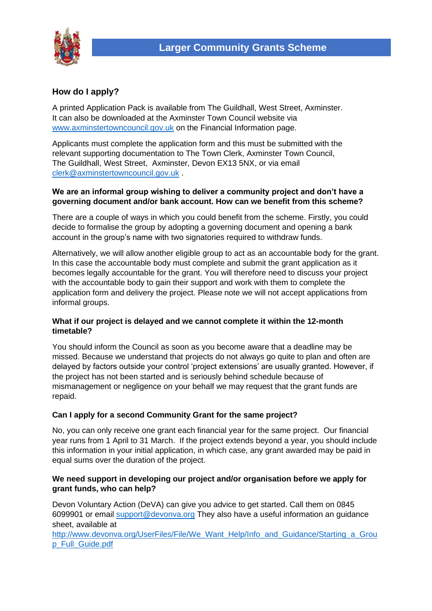

## **How do I apply?**

A printed Application Pack is available from The Guildhall, West Street, Axminster. It can also be downloaded at the Axminster Town Council website via [www.axminstertowncouncil.gov.uk](http://www.axminstertowncouncil.gov.uk/) on the Financial Information page.

Applicants must complete the application form and this must be submitted with the relevant supporting documentation to The Town Clerk, Axminster Town Council, The Guildhall, West Street, Axminster, Devon EX13 5NX, or via email [clerk@axminstertowncouncil.gov.uk](mailto:clerk@axminstertowncouncil.gov.uk) .

#### **We are an informal group wishing to deliver a community project and don't have a governing document and/or bank account. How can we benefit from this scheme?**

There are a couple of ways in which you could benefit from the scheme. Firstly, you could decide to formalise the group by adopting a governing document and opening a bank account in the group's name with two signatories required to withdraw funds.

Alternatively, we will allow another eligible group to act as an accountable body for the grant. In this case the accountable body must complete and submit the grant application as it becomes legally accountable for the grant. You will therefore need to discuss your project with the accountable body to gain their support and work with them to complete the application form and delivery the project. Please note we will not accept applications from informal groups.

#### **What if our project is delayed and we cannot complete it within the 12-month timetable?**

You should inform the Council as soon as you become aware that a deadline may be missed. Because we understand that projects do not always go quite to plan and often are delayed by factors outside your control 'project extensions' are usually granted. However, if the project has not been started and is seriously behind schedule because of mismanagement or negligence on your behalf we may request that the grant funds are repaid.

#### **Can I apply for a second Community Grant for the same project?**

No, you can only receive one grant each financial year for the same project. Our financial year runs from 1 April to 31 March. If the project extends beyond a year, you should include this information in your initial application, in which case, any grant awarded may be paid in equal sums over the duration of the project.

#### **We need support in developing our project and/or organisation before we apply for grant funds, who can help?**

Devon Voluntary Action (DeVA) can give you advice to get started. Call them on 0845 6099901 or email [support@devonva.org](mailto:support@devonva.org) They also have a useful information an guidance sheet, available at

[http://www.devonva.org/UserFiles/File/We\\_Want\\_Help/Info\\_and\\_Guidance/Starting\\_a\\_Grou](http://www.devonva.org/UserFiles/File/We_Want_Help/Info_and_Guidance/Starting_a_Group_Full_Guide.pdf) [p\\_Full\\_Guide.pdf](http://www.devonva.org/UserFiles/File/We_Want_Help/Info_and_Guidance/Starting_a_Group_Full_Guide.pdf)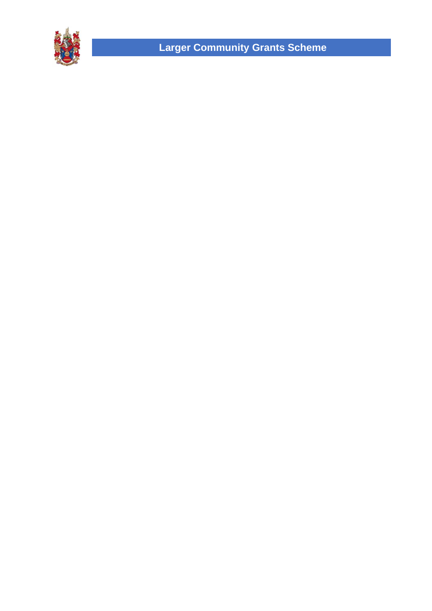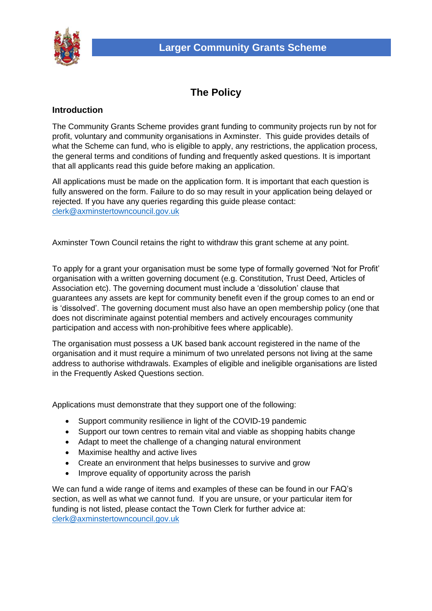

# **The Policy**

#### **Introduction**

The Community Grants Scheme provides grant funding to community projects run by not for profit, voluntary and community organisations in Axminster. This guide provides details of what the Scheme can fund, who is eligible to apply, any restrictions, the application process, the general terms and conditions of funding and frequently asked questions. It is important that all applicants read this guide before making an application.

All applications must be made on the application form. It is important that each question is fully answered on the form. Failure to do so may result in your application being delayed or rejected. If you have any queries regarding this guide please contact: [clerk@axminstertowncouncil.gov.uk](mailto:clerk@axminstertowncouncil.gov.uk)

Axminster Town Council retains the right to withdraw this grant scheme at any point.

To apply for a grant your organisation must be some type of formally governed 'Not for Profit' organisation with a written governing document (e.g. Constitution, Trust Deed, Articles of Association etc). The governing document must include a 'dissolution' clause that guarantees any assets are kept for community benefit even if the group comes to an end or is 'dissolved'. The governing document must also have an open membership policy (one that does not discriminate against potential members and actively encourages community participation and access with non-prohibitive fees where applicable).

The organisation must possess a UK based bank account registered in the name of the organisation and it must require a minimum of two unrelated persons not living at the same address to authorise withdrawals. Examples of eligible and ineligible organisations are listed in the Frequently Asked Questions section.

Applications must demonstrate that they support one of the following:

- Support community resilience in light of the COVID-19 pandemic
- Support our town centres to remain vital and viable as shopping habits change
- Adapt to meet the challenge of a changing natural environment
- Maximise healthy and active lives
- Create an environment that helps businesses to survive and grow
- Improve equality of opportunity across the parish

We can fund a wide range of items and examples of these can be found in our FAQ's section, as well as what we cannot fund. If you are unsure, or your particular item for funding is not listed, please contact the Town Clerk for further advice at: [clerk@axminstertowncouncil.gov.uk](mailto:clerk@axminstertowncouncil.gov.uk)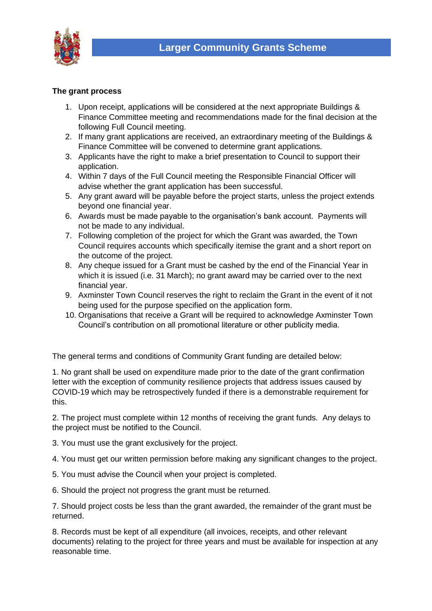

### **The grant process**

- 1. Upon receipt, applications will be considered at the next appropriate Buildings & Finance Committee meeting and recommendations made for the final decision at the following Full Council meeting.
- 2. If many grant applications are received, an extraordinary meeting of the Buildings & Finance Committee will be convened to determine grant applications.
- 3. Applicants have the right to make a brief presentation to Council to support their application.
- 4. Within 7 days of the Full Council meeting the Responsible Financial Officer will advise whether the grant application has been successful.
- 5. Any grant award will be payable before the project starts, unless the project extends beyond one financial year.
- 6. Awards must be made payable to the organisation's bank account. Payments will not be made to any individual.
- 7. Following completion of the project for which the Grant was awarded, the Town Council requires accounts which specifically itemise the grant and a short report on the outcome of the project.
- 8. Any cheque issued for a Grant must be cashed by the end of the Financial Year in which it is issued (i.e. 31 March); no grant award may be carried over to the next financial year.
- 9. Axminster Town Council reserves the right to reclaim the Grant in the event of it not being used for the purpose specified on the application form.
- 10. Organisations that receive a Grant will be required to acknowledge Axminster Town Council's contribution on all promotional literature or other publicity media.

The general terms and conditions of Community Grant funding are detailed below:

1. No grant shall be used on expenditure made prior to the date of the grant confirmation letter with the exception of community resilience projects that address issues caused by COVID-19 which may be retrospectively funded if there is a demonstrable requirement for this.

2. The project must complete within 12 months of receiving the grant funds. Any delays to the project must be notified to the Council.

3. You must use the grant exclusively for the project.

- 4. You must get our written permission before making any significant changes to the project.
- 5. You must advise the Council when your project is completed.
- 6. Should the project not progress the grant must be returned.

7. Should project costs be less than the grant awarded, the remainder of the grant must be returned.

8. Records must be kept of all expenditure (all invoices, receipts, and other relevant documents) relating to the project for three years and must be available for inspection at any reasonable time.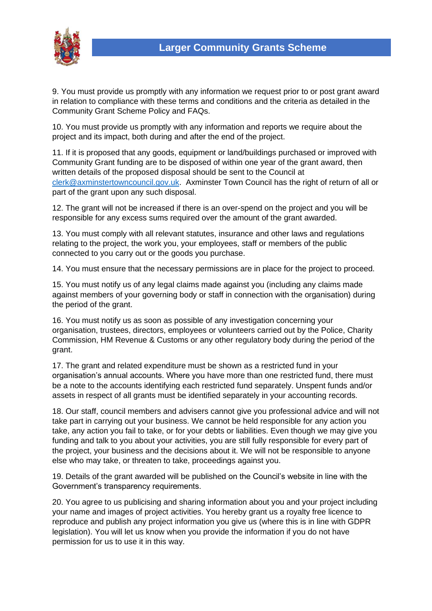

9. You must provide us promptly with any information we request prior to or post grant award in relation to compliance with these terms and conditions and the criteria as detailed in the Community Grant Scheme Policy and FAQs.

10. You must provide us promptly with any information and reports we require about the project and its impact, both during and after the end of the project.

11. If it is proposed that any goods, equipment or land/buildings purchased or improved with Community Grant funding are to be disposed of within one year of the grant award, then written details of the proposed disposal should be sent to the Council at [clerk@axminstertowncouncil.gov.uk.](mailto:clerk@axminstertowncouncil.gov.uk) Axminster Town Council has the right of return of all or part of the grant upon any such disposal.

12. The grant will not be increased if there is an over-spend on the project and you will be responsible for any excess sums required over the amount of the grant awarded.

13. You must comply with all relevant statutes, insurance and other laws and regulations relating to the project, the work you, your employees, staff or members of the public connected to you carry out or the goods you purchase.

14. You must ensure that the necessary permissions are in place for the project to proceed.

15. You must notify us of any legal claims made against you (including any claims made against members of your governing body or staff in connection with the organisation) during the period of the grant.

16. You must notify us as soon as possible of any investigation concerning your organisation, trustees, directors, employees or volunteers carried out by the Police, Charity Commission, HM Revenue & Customs or any other regulatory body during the period of the grant.

17. The grant and related expenditure must be shown as a restricted fund in your organisation's annual accounts. Where you have more than one restricted fund, there must be a note to the accounts identifying each restricted fund separately. Unspent funds and/or assets in respect of all grants must be identified separately in your accounting records.

18. Our staff, council members and advisers cannot give you professional advice and will not take part in carrying out your business. We cannot be held responsible for any action you take, any action you fail to take, or for your debts or liabilities. Even though we may give you funding and talk to you about your activities, you are still fully responsible for every part of the project, your business and the decisions about it. We will not be responsible to anyone else who may take, or threaten to take, proceedings against you.

19. Details of the grant awarded will be published on the Council's website in line with the Government's transparency requirements.

20. You agree to us publicising and sharing information about you and your project including your name and images of project activities. You hereby grant us a royalty free licence to reproduce and publish any project information you give us (where this is in line with GDPR legislation). You will let us know when you provide the information if you do not have permission for us to use it in this way.